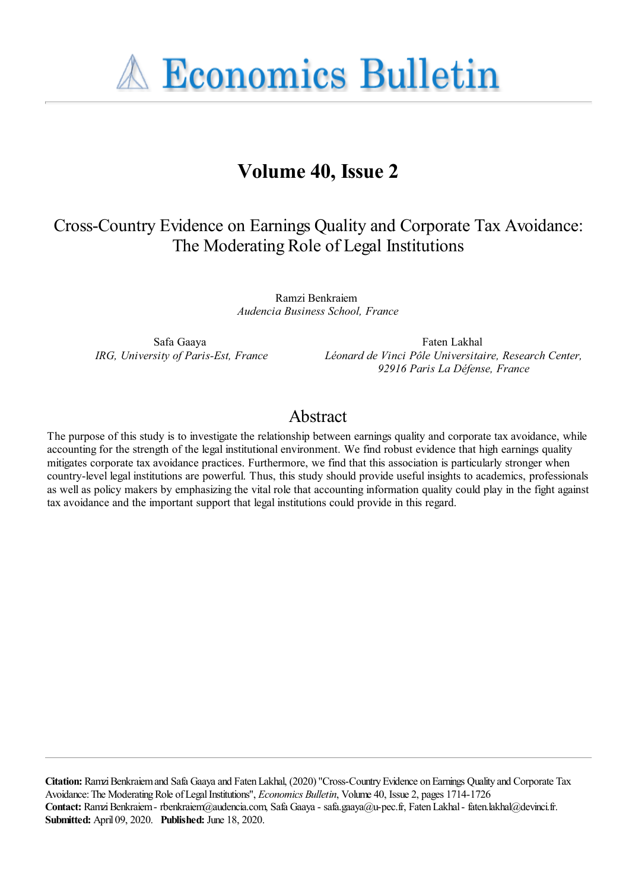**A Economics Bulletin** 

# **Volume 40, Issue 2**

# Cross-Country Evidence on Earnings Quality and Corporate Tax Avoidance: The Moderating Role of Legal Institutions

Ramzi Benkraiem *Audencia Business School, France*

Safa Gaaya *IRG, University of Paris-Est, France*

Faten Lakhal *Léonard de Vinci Pôle Universitaire, Research Center, 92916 Paris La Défense, France*

## Abstract

The purpose of this study is to investigate the relationship between earnings quality and corporate tax avoidance, while accounting for the strength of the legal institutional environment. We find robust evidence that high earnings quality mitigates corporate tax avoidance practices. Furthermore, we find that this association is particularly stronger when country-level legal institutions are powerful. Thus, this study should provide useful insights to academics, professionals as well as policy makers by emphasizing the vital role that accounting information quality could play in the fight against tax avoidance and the important support that legal institutions could provide in this regard.

**Citation:** Ramzi Benkraiem and Safa Gaaya and Faten Lakhal, (2020) ''Cross-Country Evidence on Earnings Quality and Corporate Tax Avoidance: The Moderating Role of Legal Institutions'', *Economics Bulletin*, Volume 40, Issue 2, pages 1714-1726 **Contact:** Ramzi Benkraiem - rbenkraiem@audencia.com, Safa Gaaya - safa.gaaya@u-pec.fr, Faten Lakhal - faten.lakhal@devinci.fr. **Submitted:** April 09, 2020. **Published:** June 18, 2020.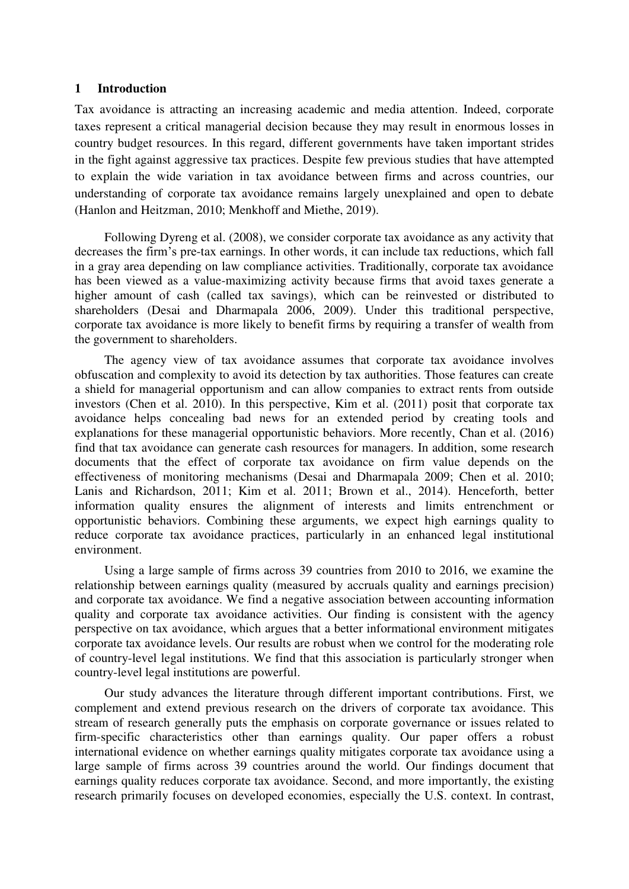#### **1 Introduction**

Tax avoidance is attracting an increasing academic and media attention. Indeed, corporate taxes represent a critical managerial decision because they may result in enormous losses in country budget resources. In this regard, different governments have taken important strides in the fight against aggressive tax practices. Despite few previous studies that have attempted to explain the wide variation in tax avoidance between firms and across countries, our understanding of corporate tax avoidance remains largely unexplained and open to debate (Hanlon and Heitzman, 2010; Menkhoff and Miethe, 2019).

Following Dyreng et al. (2008), we consider corporate tax avoidance as any activity that decreases the firm's pre-tax earnings. In other words, it can include tax reductions, which fall in a gray area depending on law compliance activities. Traditionally, corporate tax avoidance has been viewed as a value-maximizing activity because firms that avoid taxes generate a higher amount of cash (called tax savings), which can be reinvested or distributed to shareholders (Desai and Dharmapala 2006, 2009). Under this traditional perspective, corporate tax avoidance is more likely to benefit firms by requiring a transfer of wealth from the government to shareholders.

The agency view of tax avoidance assumes that corporate tax avoidance involves obfuscation and complexity to avoid its detection by tax authorities. Those features can create a shield for managerial opportunism and can allow companies to extract rents from outside investors (Chen et al. 2010). In this perspective, Kim et al. (2011) posit that corporate tax avoidance helps concealing bad news for an extended period by creating tools and explanations for these managerial opportunistic behaviors. More recently, Chan et al. (2016) find that tax avoidance can generate cash resources for managers. In addition, some research documents that the effect of corporate tax avoidance on firm value depends on the effectiveness of monitoring mechanisms (Desai and Dharmapala 2009; Chen et al. 2010; Lanis and Richardson, 2011; Kim et al. 2011; Brown et al., 2014). Henceforth, better information quality ensures the alignment of interests and limits entrenchment or opportunistic behaviors. Combining these arguments, we expect high earnings quality to reduce corporate tax avoidance practices, particularly in an enhanced legal institutional environment.

Using a large sample of firms across 39 countries from 2010 to 2016, we examine the relationship between earnings quality (measured by accruals quality and earnings precision) and corporate tax avoidance. We find a negative association between accounting information quality and corporate tax avoidance activities. Our finding is consistent with the agency perspective on tax avoidance, which argues that a better informational environment mitigates corporate tax avoidance levels. Our results are robust when we control for the moderating role of country-level legal institutions. We find that this association is particularly stronger when country-level legal institutions are powerful.

Our study advances the literature through different important contributions. First, we complement and extend previous research on the drivers of corporate tax avoidance. This stream of research generally puts the emphasis on corporate governance or issues related to firm-specific characteristics other than earnings quality. Our paper offers a robust international evidence on whether earnings quality mitigates corporate tax avoidance using a large sample of firms across 39 countries around the world. Our findings document that earnings quality reduces corporate tax avoidance. Second, and more importantly, the existing research primarily focuses on developed economies, especially the U.S. context. In contrast,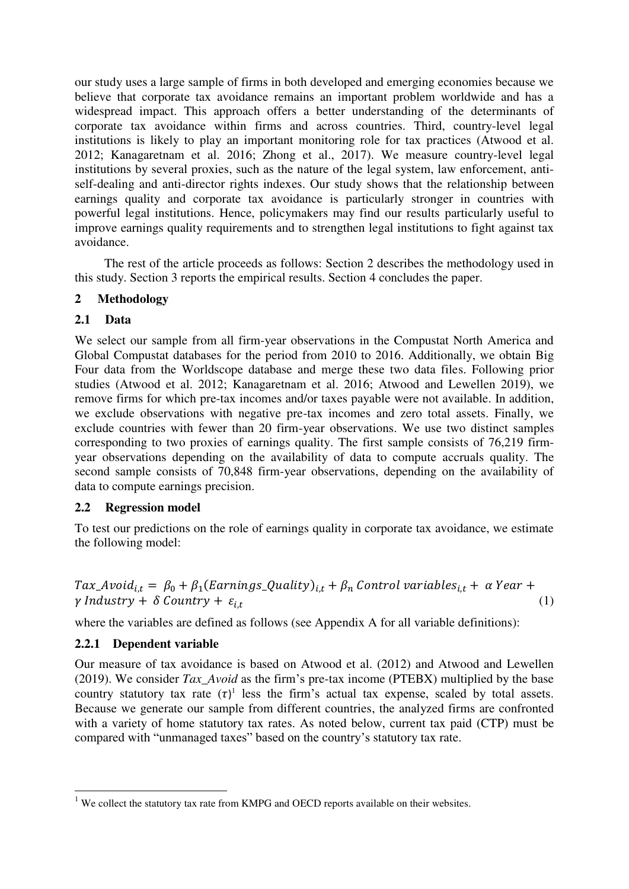our study uses a large sample of firms in both developed and emerging economies because we believe that corporate tax avoidance remains an important problem worldwide and has a widespread impact. This approach offers a better understanding of the determinants of corporate tax avoidance within firms and across countries. Third, country-level legal institutions is likely to play an important monitoring role for tax practices (Atwood et al. 2012; Kanagaretnam et al. 2016; Zhong et al., 2017). We measure country-level legal institutions by several proxies, such as the nature of the legal system, law enforcement, antiself-dealing and anti-director rights indexes. Our study shows that the relationship between earnings quality and corporate tax avoidance is particularly stronger in countries with powerful legal institutions. Hence, policymakers may find our results particularly useful to improve earnings quality requirements and to strengthen legal institutions to fight against tax avoidance.

The rest of the article proceeds as follows: Section 2 describes the methodology used in this study. Section 3 reports the empirical results. Section 4 concludes the paper.

### **2 Methodology**

### **2.1 Data**

We select our sample from all firm-year observations in the Compustat North America and Global Compustat databases for the period from 2010 to 2016. Additionally, we obtain Big Four data from the Worldscope database and merge these two data files. Following prior studies (Atwood et al. 2012; Kanagaretnam et al. 2016; Atwood and Lewellen 2019), we remove firms for which pre-tax incomes and/or taxes payable were not available. In addition, we exclude observations with negative pre-tax incomes and zero total assets. Finally, we exclude countries with fewer than 20 firm-year observations. We use two distinct samples corresponding to two proxies of earnings quality. The first sample consists of 76,219 firmyear observations depending on the availability of data to compute accruals quality. The second sample consists of 70,848 firm-year observations, depending on the availability of data to compute earnings precision.

#### **2.2 Regression model**

To test our predictions on the role of earnings quality in corporate tax avoidance, we estimate the following model:

$$
Tax\_Avoid_{i,t} = \beta_0 + \beta_1(Earning_S\_Quality)_{i,t} + \beta_n Control\ variables_{i,t} + \alpha Year + \gamma\ Industry + \delta\ Country + \varepsilon_{i,t}
$$
\n(1)

where the variables are defined as follows (see Appendix A for all variable definitions):

#### **2.2.1 Dependent variable**

-

Our measure of tax avoidance is based on Atwood et al. (2012) and Atwood and Lewellen (2019). We consider *Tax\_Avoid* as the firm's pre-tax income (PTEBX) multiplied by the base country statutory tax rate  $(\tau)^1$  less the firm's actual tax expense, scaled by total assets. Because we generate our sample from different countries, the analyzed firms are confronted with a variety of home statutory tax rates. As noted below, current tax paid (CTP) must be compared with "unmanaged taxes" based on the country's statutory tax rate.

 $1$  We collect the statutory tax rate from KMPG and OECD reports available on their websites.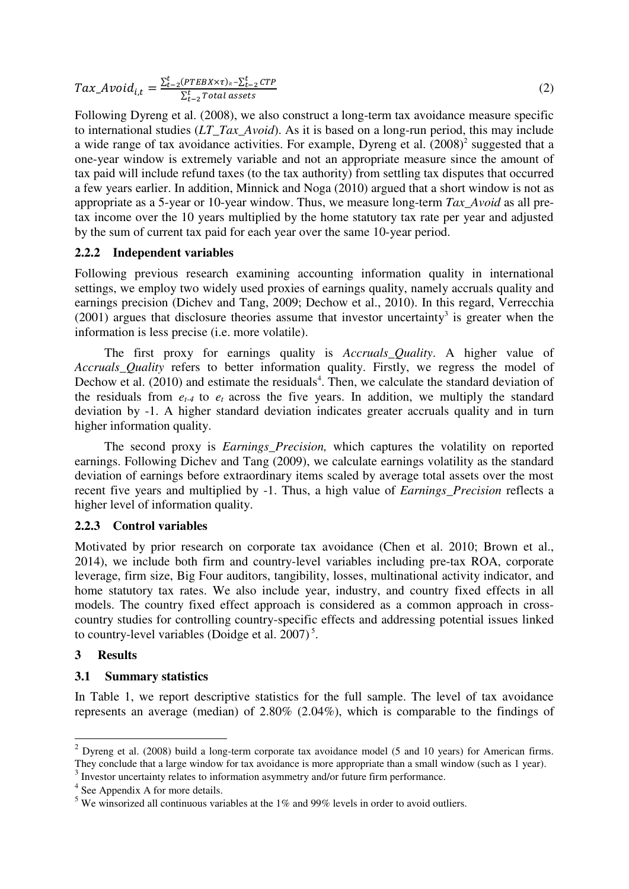$$
Tax\_Avoid_{i,t} = \frac{\sum_{t=2}^{t} (PTEBX \times \tau)_{it} - \sum_{t=2}^{t} CTP}{\sum_{t=2}^{t} Total assets}} \tag{2}
$$

Following Dyreng et al. (2008), we also construct a long-term tax avoidance measure specific to international studies (*LT\_Tax\_Avoid*). As it is based on a long-run period, this may include a wide range of tax avoidance activities. For example, Dyreng et al.  $(2008)^2$  suggested that a one-year window is extremely variable and not an appropriate measure since the amount of tax paid will include refund taxes (to the tax authority) from settling tax disputes that occurred a few years earlier. In addition, Minnick and Noga (2010) argued that a short window is not as appropriate as a 5-year or 10-year window. Thus, we measure long-term *Tax\_Avoid* as all pretax income over the 10 years multiplied by the home statutory tax rate per year and adjusted by the sum of current tax paid for each year over the same 10-year period.

#### **2.2.2 Independent variables**

Following previous research examining accounting information quality in international settings, we employ two widely used proxies of earnings quality, namely accruals quality and earnings precision (Dichev and Tang, 2009; Dechow et al., 2010). In this regard, Verrecchia  $(2001)$  argues that disclosure theories assume that investor uncertainty<sup>3</sup> is greater when the information is less precise (i.e. more volatile).

The first proxy for earnings quality is *Accruals\_Quality*. A higher value of *Accruals Quality refers to better information quality. Firstly, we regress the model of* Dechow et al.  $(2010)$  and estimate the residuals<sup>4</sup>. Then, we calculate the standard deviation of the residuals from  $e_{t-4}$  to  $e_t$  across the five years. In addition, we multiply the standard deviation by -1. A higher standard deviation indicates greater accruals quality and in turn higher information quality.

The second proxy is *Earnings\_Precision,* which captures the volatility on reported earnings. Following Dichev and Tang (2009), we calculate earnings volatility as the standard deviation of earnings before extraordinary items scaled by average total assets over the most recent five years and multiplied by -1. Thus, a high value of *Earnings\_Precision* reflects a higher level of information quality.

#### **2.2.3 Control variables**

Motivated by prior research on corporate tax avoidance (Chen et al. 2010; Brown et al., 2014), we include both firm and country-level variables including pre-tax ROA, corporate leverage, firm size, Big Four auditors, tangibility, losses, multinational activity indicator, and home statutory tax rates. We also include year, industry, and country fixed effects in all models. The country fixed effect approach is considered as a common approach in crosscountry studies for controlling country-specific effects and addressing potential issues linked to country-level variables (Doidge et al.  $2007$ )<sup>5</sup>.

#### **3 Results**

-

#### **3.1 Summary statistics**

In Table 1, we report descriptive statistics for the full sample. The level of tax avoidance represents an average (median) of 2.80% (2.04%), which is comparable to the findings of

 $3$  Investor uncertainty relates to information asymmetry and/or future firm performance.

<sup>&</sup>lt;sup>2</sup> Dyreng et al. (2008) build a long-term corporate tax avoidance model (5 and 10 years) for American firms. They conclude that a large window for tax avoidance is more appropriate than a small window (such as 1 year).

<sup>&</sup>lt;sup>4</sup> See Appendix A for more details.

<sup>&</sup>lt;sup>5</sup> We winsorized all continuous variables at the 1% and 99% levels in order to avoid outliers.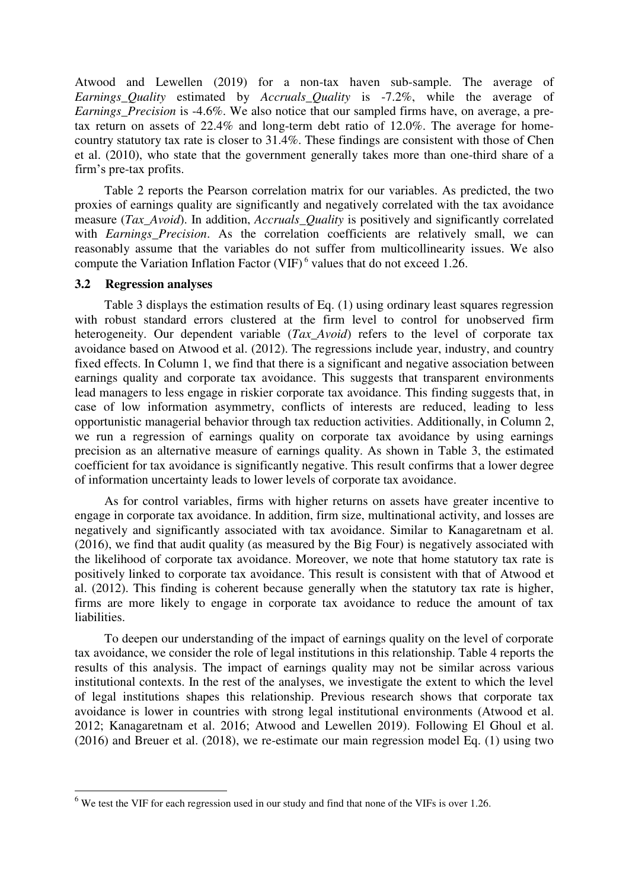Atwood and Lewellen (2019) for a non-tax haven sub-sample. The average of *Earnings\_Quality* estimated by *Accruals\_Quality* is -7.2%, while the average of *Earnings Precision* is -4.6%. We also notice that our sampled firms have, on average, a pretax return on assets of 22.4% and long-term debt ratio of 12.0%. The average for homecountry statutory tax rate is closer to 31.4%. These findings are consistent with those of Chen et al. (2010), who state that the government generally takes more than one-third share of a firm's pre-tax profits.

Table 2 reports the Pearson correlation matrix for our variables. As predicted, the two proxies of earnings quality are significantly and negatively correlated with the tax avoidance measure (*Tax\_Avoid*). In addition, *Accruals\_Quality* is positively and significantly correlated with *Earnings Precision*. As the correlation coefficients are relatively small, we can reasonably assume that the variables do not suffer from multicollinearity issues. We also compute the Variation Inflation Factor (VIF) $<sup>6</sup>$  values that do not exceed 1.26.</sup>

#### **3.2 Regression analyses**

-

Table 3 displays the estimation results of Eq. (1) using ordinary least squares regression with robust standard errors clustered at the firm level to control for unobserved firm heterogeneity. Our dependent variable (*Tax\_Avoid*) refers to the level of corporate tax avoidance based on Atwood et al. (2012). The regressions include year, industry, and country fixed effects. In Column 1, we find that there is a significant and negative association between earnings quality and corporate tax avoidance. This suggests that transparent environments lead managers to less engage in riskier corporate tax avoidance. This finding suggests that, in case of low information asymmetry, conflicts of interests are reduced, leading to less opportunistic managerial behavior through tax reduction activities. Additionally, in Column 2, we run a regression of earnings quality on corporate tax avoidance by using earnings precision as an alternative measure of earnings quality. As shown in Table 3, the estimated coefficient for tax avoidance is significantly negative. This result confirms that a lower degree of information uncertainty leads to lower levels of corporate tax avoidance.

As for control variables, firms with higher returns on assets have greater incentive to engage in corporate tax avoidance. In addition, firm size, multinational activity, and losses are negatively and significantly associated with tax avoidance. Similar to Kanagaretnam et al. (2016), we find that audit quality (as measured by the Big Four) is negatively associated with the likelihood of corporate tax avoidance. Moreover, we note that home statutory tax rate is positively linked to corporate tax avoidance. This result is consistent with that of Atwood et al. (2012). This finding is coherent because generally when the statutory tax rate is higher, firms are more likely to engage in corporate tax avoidance to reduce the amount of tax liabilities.

To deepen our understanding of the impact of earnings quality on the level of corporate tax avoidance, we consider the role of legal institutions in this relationship. Table 4 reports the results of this analysis. The impact of earnings quality may not be similar across various institutional contexts. In the rest of the analyses, we investigate the extent to which the level of legal institutions shapes this relationship. Previous research shows that corporate tax avoidance is lower in countries with strong legal institutional environments (Atwood et al. 2012; Kanagaretnam et al. 2016; Atwood and Lewellen 2019). Following El Ghoul et al. (2016) and Breuer et al. (2018), we re-estimate our main regression model Eq. (1) using two

 $<sup>6</sup>$  We test the VIF for each regression used in our study and find that none of the VIFs is over 1.26.</sup>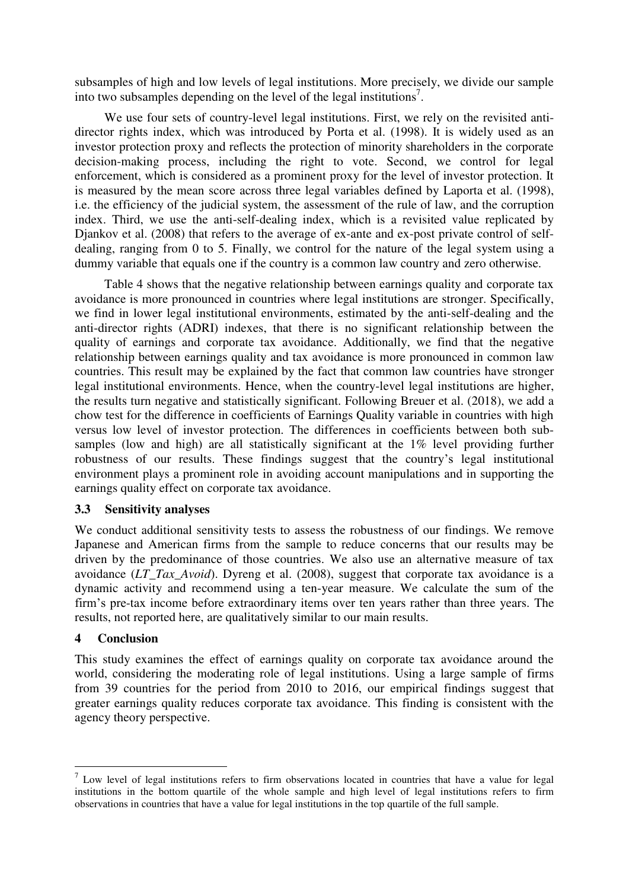subsamples of high and low levels of legal institutions. More precisely, we divide our sample into two subsamples depending on the level of the legal institutions<sup>7</sup>.

We use four sets of country-level legal institutions. First, we rely on the revisited antidirector rights index, which was introduced by Porta et al. (1998). It is widely used as an investor protection proxy and reflects the protection of minority shareholders in the corporate decision-making process, including the right to vote. Second, we control for legal enforcement, which is considered as a prominent proxy for the level of investor protection. It is measured by the mean score across three legal variables defined by Laporta et al. (1998), i.e. the efficiency of the judicial system, the assessment of the rule of law, and the corruption index. Third, we use the anti-self-dealing index, which is a revisited value replicated by Djankov et al. (2008) that refers to the average of ex-ante and ex-post private control of selfdealing, ranging from 0 to 5. Finally, we control for the nature of the legal system using a dummy variable that equals one if the country is a common law country and zero otherwise.

Table 4 shows that the negative relationship between earnings quality and corporate tax avoidance is more pronounced in countries where legal institutions are stronger. Specifically, we find in lower legal institutional environments, estimated by the anti-self-dealing and the anti-director rights (ADRI) indexes, that there is no significant relationship between the quality of earnings and corporate tax avoidance. Additionally, we find that the negative relationship between earnings quality and tax avoidance is more pronounced in common law countries. This result may be explained by the fact that common law countries have stronger legal institutional environments. Hence, when the country-level legal institutions are higher, the results turn negative and statistically significant. Following Breuer et al. (2018), we add a chow test for the difference in coefficients of Earnings Quality variable in countries with high versus low level of investor protection. The differences in coefficients between both subsamples (low and high) are all statistically significant at the 1% level providing further robustness of our results. These findings suggest that the country's legal institutional environment plays a prominent role in avoiding account manipulations and in supporting the earnings quality effect on corporate tax avoidance.

#### **3.3 Sensitivity analyses**

We conduct additional sensitivity tests to assess the robustness of our findings. We remove Japanese and American firms from the sample to reduce concerns that our results may be driven by the predominance of those countries. We also use an alternative measure of tax avoidance (*LT\_Tax\_Avoid*). Dyreng et al. (2008), suggest that corporate tax avoidance is a dynamic activity and recommend using a ten-year measure. We calculate the sum of the firm's pre-tax income before extraordinary items over ten years rather than three years. The results, not reported here, are qualitatively similar to our main results.

#### **4 Conclusion**

<u>.</u>

This study examines the effect of earnings quality on corporate tax avoidance around the world, considering the moderating role of legal institutions. Using a large sample of firms from 39 countries for the period from 2010 to 2016, our empirical findings suggest that greater earnings quality reduces corporate tax avoidance. This finding is consistent with the agency theory perspective.

 $<sup>7</sup>$  Low level of legal institutions refers to firm observations located in countries that have a value for legal</sup> institutions in the bottom quartile of the whole sample and high level of legal institutions refers to firm observations in countries that have a value for legal institutions in the top quartile of the full sample.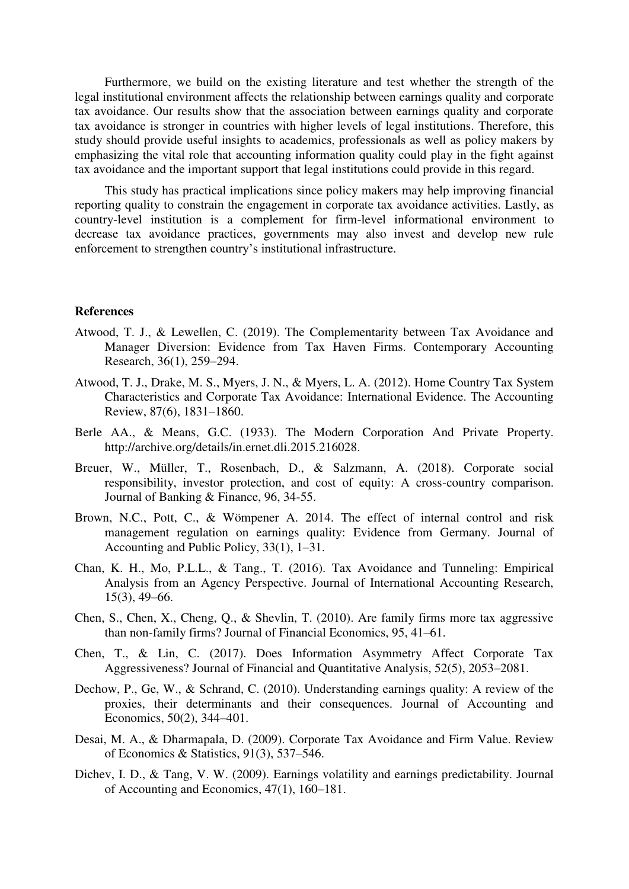Furthermore, we build on the existing literature and test whether the strength of the legal institutional environment affects the relationship between earnings quality and corporate tax avoidance. Our results show that the association between earnings quality and corporate tax avoidance is stronger in countries with higher levels of legal institutions. Therefore, this study should provide useful insights to academics, professionals as well as policy makers by emphasizing the vital role that accounting information quality could play in the fight against tax avoidance and the important support that legal institutions could provide in this regard.

This study has practical implications since policy makers may help improving financial reporting quality to constrain the engagement in corporate tax avoidance activities. Lastly, as country-level institution is a complement for firm-level informational environment to decrease tax avoidance practices, governments may also invest and develop new rule enforcement to strengthen country's institutional infrastructure.

#### **References**

- Atwood, T. J., & Lewellen, C. (2019). The Complementarity between Tax Avoidance and Manager Diversion: Evidence from Tax Haven Firms. Contemporary Accounting Research, 36(1), 259–294.
- Atwood, T. J., Drake, M. S., Myers, J. N., & Myers, L. A. (2012). Home Country Tax System Characteristics and Corporate Tax Avoidance: International Evidence. The Accounting Review, 87(6), 1831–1860.
- Berle AA., & Means, G.C. (1933). The Modern Corporation And Private Property. http://archive.org/details/in.ernet.dli.2015.216028.
- Breuer, W., Müller, T., Rosenbach, D., & Salzmann, A. (2018). Corporate social responsibility, investor protection, and cost of equity: A cross-country comparison. Journal of Banking & Finance, 96, 34-55.
- Brown, N.C., Pott, C., & Wömpener A. 2014. The effect of internal control and risk management regulation on earnings quality: Evidence from Germany. Journal of Accounting and Public Policy, 33(1), 1–31.
- Chan, K. H., Mo, P.L.L., & Tang., T. (2016). Tax Avoidance and Tunneling: Empirical Analysis from an Agency Perspective. Journal of International Accounting Research, 15(3), 49–66.
- Chen, S., Chen, X., Cheng, Q., & Shevlin, T. (2010). Are family firms more tax aggressive than non-family firms? Journal of Financial Economics, 95, 41–61.
- Chen, T., & Lin, C. (2017). Does Information Asymmetry Affect Corporate Tax Aggressiveness? Journal of Financial and Quantitative Analysis, 52(5), 2053–2081.
- Dechow, P., Ge, W., & Schrand, C. (2010). Understanding earnings quality: A review of the proxies, their determinants and their consequences. Journal of Accounting and Economics, 50(2), 344–401.
- Desai, M. A., & Dharmapala, D. (2009). Corporate Tax Avoidance and Firm Value. Review of Economics & Statistics, 91(3), 537–546.
- Dichev, I. D., & Tang, V. W. (2009). Earnings volatility and earnings predictability. Journal of Accounting and Economics, 47(1), 160–181.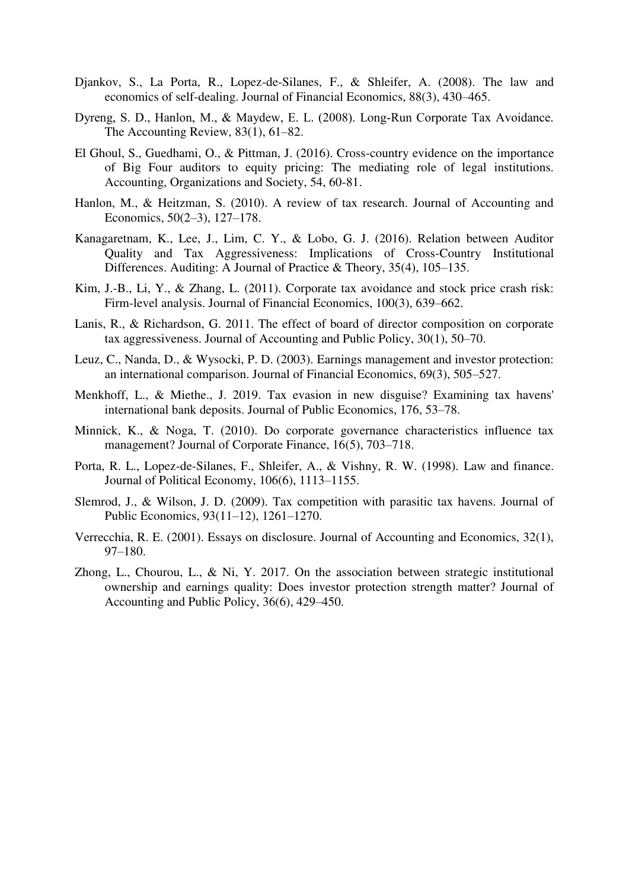- Djankov, S., La Porta, R., Lopez-de-Silanes, F., & Shleifer, A. (2008). The law and economics of self-dealing. Journal of Financial Economics, 88(3), 430–465.
- Dyreng, S. D., Hanlon, M., & Maydew, E. L. (2008). Long‐Run Corporate Tax Avoidance. The Accounting Review, 83(1), 61–82.
- El Ghoul, S., Guedhami, O., & Pittman, J. (2016). Cross-country evidence on the importance of Big Four auditors to equity pricing: The mediating role of legal institutions. Accounting, Organizations and Society, 54, 60-81.
- Hanlon, M., & Heitzman, S. (2010). A review of tax research. Journal of Accounting and Economics, 50(2–3), 127–178.
- Kanagaretnam, K., Lee, J., Lim, C. Y., & Lobo, G. J. (2016). Relation between Auditor Quality and Tax Aggressiveness: Implications of Cross-Country Institutional Differences. Auditing: A Journal of Practice & Theory, 35(4), 105–135.
- Kim, J.-B., Li, Y., & Zhang, L. (2011). Corporate tax avoidance and stock price crash risk: Firm-level analysis. Journal of Financial Economics, 100(3), 639–662.
- Lanis, R., & Richardson, G. 2011. The effect of board of director composition on corporate tax aggressiveness. Journal of Accounting and Public Policy, 30(1), 50–70.
- Leuz, C., Nanda, D., & Wysocki, P. D. (2003). Earnings management and investor protection: an international comparison. Journal of Financial Economics, 69(3), 505–527.
- Menkhoff, L., & Miethe., J. 2019. Tax evasion in new disguise? Examining tax havens' international bank deposits. Journal of Public Economics, 176, 53–78.
- Minnick, K., & Noga, T. (2010). Do corporate governance characteristics influence tax management? Journal of Corporate Finance, 16(5), 703–718.
- Porta, R. L., Lopez-de-Silanes, F., Shleifer, A., & Vishny, R. W. (1998). Law and finance. Journal of Political Economy, 106(6), 1113–1155.
- Slemrod, J., & Wilson, J. D. (2009). Tax competition with parasitic tax havens. Journal of Public Economics, 93(11–12), 1261–1270.
- Verrecchia, R. E. (2001). Essays on disclosure. Journal of Accounting and Economics, 32(1), 97–180.
- Zhong, L., Chourou, L., & Ni, Y. 2017. On the association between strategic institutional ownership and earnings quality: Does investor protection strength matter? Journal of Accounting and Public Policy, 36(6), 429–450.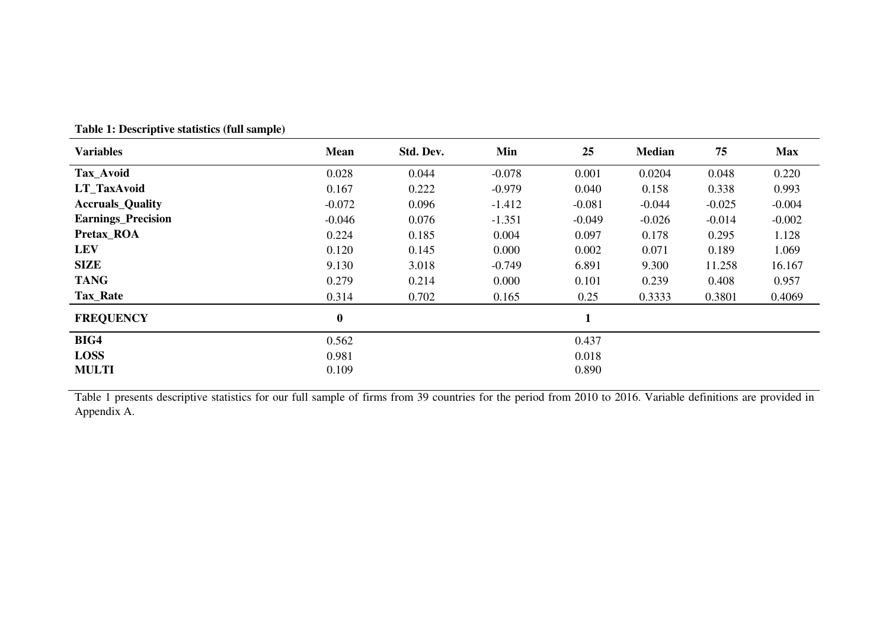| <b>Variables</b>          | <b>Mean</b> | Std. Dev. | Min      | 25           | <b>Median</b> | 75       | <b>Max</b> |
|---------------------------|-------------|-----------|----------|--------------|---------------|----------|------------|
| Tax_Avoid                 | 0.028       | 0.044     | $-0.078$ | 0.001        | 0.0204        | 0.048    | 0.220      |
| <b>LT</b> TaxAvoid        | 0.167       | 0.222     | $-0.979$ | 0.040        | 0.158         | 0.338    | 0.993      |
| <b>Accruals_Quality</b>   | $-0.072$    | 0.096     | $-1.412$ | $-0.081$     | $-0.044$      | $-0.025$ | $-0.004$   |
| <b>Earnings_Precision</b> | $-0.046$    | 0.076     | $-1.351$ | $-0.049$     | $-0.026$      | $-0.014$ | $-0.002$   |
| Pretax_ROA                | 0.224       | 0.185     | 0.004    | 0.097        | 0.178         | 0.295    | 1.128      |
| <b>LEV</b>                | 0.120       | 0.145     | 0.000    | 0.002        | 0.071         | 0.189    | 1.069      |
| <b>SIZE</b>               | 9.130       | 3.018     | $-0.749$ | 6.891        | 9.300         | 11.258   | 16.167     |
| <b>TANG</b>               | 0.279       | 0.214     | 0.000    | 0.101        | 0.239         | 0.408    | 0.957      |
| Tax_Rate                  | 0.314       | 0.702     | 0.165    | 0.25         | 0.3333        | 0.3801   | 0.4069     |
| <b>FREQUENCY</b>          | $\bf{0}$    |           |          | $\mathbf{1}$ |               |          |            |
| BIG4                      | 0.562       |           |          | 0.437        |               |          |            |
| <b>LOSS</b>               | 0.981       |           |          | 0.018        |               |          |            |
| <b>MULTI</b>              | 0.109       |           |          | 0.890        |               |          |            |

**Table 1: Descriptive statistics (full sample)** 

Table 1 presents descriptive statistics for our full sample of firms from 39 countries for the period from 2010 to 2016. Variable definitions are provided in Appendix A.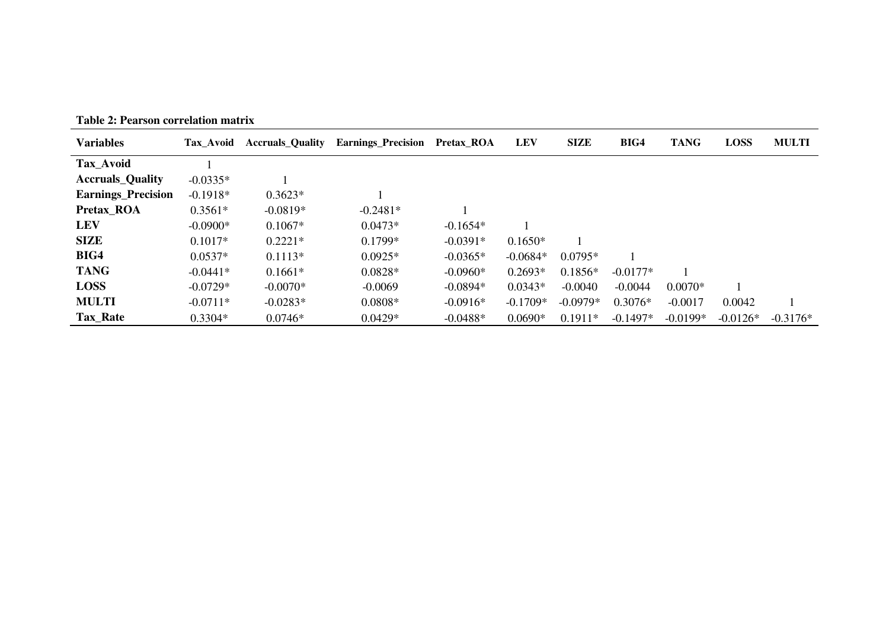| <b>Variables</b>          | <b>Tax Avoid</b> | <b>Accruals Quality</b> | <b>Earnings_Precision</b> | Pretax ROA | <b>LEV</b> | <b>SIZE</b> | BIG4       | <b>TANG</b> | <b>LOSS</b> | <b>MULTI</b> |
|---------------------------|------------------|-------------------------|---------------------------|------------|------------|-------------|------------|-------------|-------------|--------------|
| Tax_Avoid                 |                  |                         |                           |            |            |             |            |             |             |              |
| <b>Accruals Quality</b>   | $-0.0335*$       |                         |                           |            |            |             |            |             |             |              |
| <b>Earnings</b> Precision | $-0.1918*$       | $0.3623*$               |                           |            |            |             |            |             |             |              |
| Pretax ROA                | $0.3561*$        | $-0.0819*$              | $-0.2481*$                |            |            |             |            |             |             |              |
| <b>LEV</b>                | $-0.0900*$       | $0.1067*$               | $0.0473*$                 | $-0.1654*$ |            |             |            |             |             |              |
| <b>SIZE</b>               | $0.1017*$        | $0.2221*$               | $0.1799*$                 | $-0.0391*$ | $0.1650*$  |             |            |             |             |              |
| BIG4                      | $0.0537*$        | $0.1113*$               | $0.0925*$                 | $-0.0365*$ | $-0.0684*$ | $0.0795*$   |            |             |             |              |
| <b>TANG</b>               | $-0.0441*$       | $0.1661*$               | $0.0828*$                 | $-0.0960*$ | $0.2693*$  | $0.1856*$   | $-0.0177*$ |             |             |              |
| <b>LOSS</b>               | $-0.0729*$       | $-0.0070*$              | $-0.0069$                 | $-0.0894*$ | $0.0343*$  | $-0.0040$   | $-0.0044$  | $0.0070*$   |             |              |
| <b>MULTI</b>              | $-0.0711*$       | $-0.0283*$              | $0.0808*$                 | $-0.0916*$ | $-0.1709*$ | $-0.0979*$  | $0.3076*$  | $-0.0017$   | 0.0042      |              |
| Tax_Rate                  | $0.3304*$        | $0.0746*$               | $0.0429*$                 | $-0.0488*$ | $0.0690*$  | $0.1911*$   | $-0.1497*$ | $-0.0199*$  | $-0.0126*$  | $-0.3176*$   |

**Table 2: Pearson correlation matrix**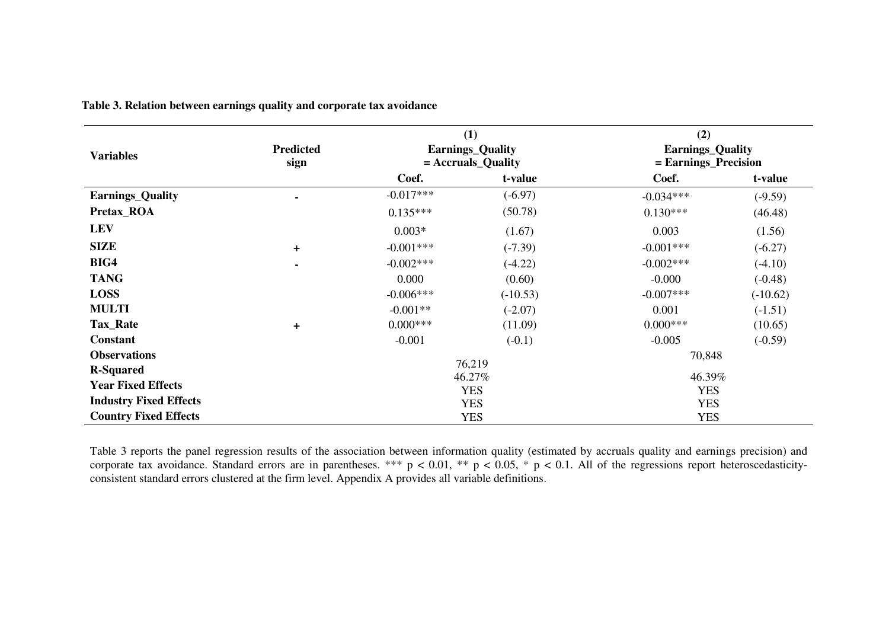|                               |                          |                                    | (1)                                             | (2)                                             |            |  |
|-------------------------------|--------------------------|------------------------------------|-------------------------------------------------|-------------------------------------------------|------------|--|
| <b>Variables</b>              | <b>Predicted</b><br>sign |                                    | <b>Earnings_Quality</b><br>$=$ Accruals_Quality | <b>Earnings_Quality</b><br>= Earnings_Precision |            |  |
|                               |                          | Coef.                              | t-value                                         | Coef.                                           | t-value    |  |
| <b>Earnings_Quality</b>       |                          | $-0.017***$                        | $(-6.97)$                                       | $-0.034***$                                     | $(-9.59)$  |  |
| Pretax_ROA                    |                          | $0.135***$                         | (50.78)                                         | $0.130***$                                      | (46.48)    |  |
| <b>LEV</b>                    |                          | $0.003*$                           | (1.67)                                          | 0.003                                           | (1.56)     |  |
| <b>SIZE</b>                   | $+$                      | $-0.001***$                        | $(-7.39)$                                       | $-0.001***$                                     | $(-6.27)$  |  |
| BIG4                          | ۰                        | $-0.002***$                        | $(-4.22)$                                       | $-0.002***$                                     | $(-4.10)$  |  |
| <b>TANG</b>                   |                          | 0.000                              | (0.60)                                          | $-0.000$                                        | $(-0.48)$  |  |
| <b>LOSS</b>                   |                          | $-0.006***$                        | $(-10.53)$                                      | $-0.007***$                                     | $(-10.62)$ |  |
| <b>MULTI</b>                  |                          | $-0.001**$                         | $(-2.07)$                                       | 0.001                                           | $(-1.51)$  |  |
| <b>Tax_Rate</b>               | $\pm$                    | $0.000***$                         | (11.09)                                         | $0.000$ ***                                     | (10.65)    |  |
| <b>Constant</b>               |                          | $-0.001$                           | $(-0.1)$                                        | $-0.005$                                        | $(-0.59)$  |  |
| <b>Observations</b>           |                          |                                    | 76,219                                          | 70,848                                          |            |  |
| <b>R-Squared</b>              |                          |                                    |                                                 | 46.39%                                          |            |  |
| <b>Year Fixed Effects</b>     |                          | 46.27%<br><b>YES</b><br><b>YES</b> |                                                 |                                                 |            |  |
| <b>Industry Fixed Effects</b> |                          | <b>YES</b><br><b>YES</b>           |                                                 |                                                 |            |  |
| <b>Country Fixed Effects</b>  |                          |                                    | <b>YES</b>                                      | <b>YES</b>                                      |            |  |

**Table 3. Relation between earnings quality and corporate tax avoidance** 

Table 3 reports the panel regression results of the association between information quality (estimated by accruals quality and earnings precision) and corporate tax avoidance. Standard errors are in parentheses. \*\*\*  $p < 0.01$ , \*\*  $p < 0.05$ , \*  $p < 0.1$ . All of the regressions report heteroscedasticityconsistent standard errors clustered at the firm level. Appendix A provides all variable definitions.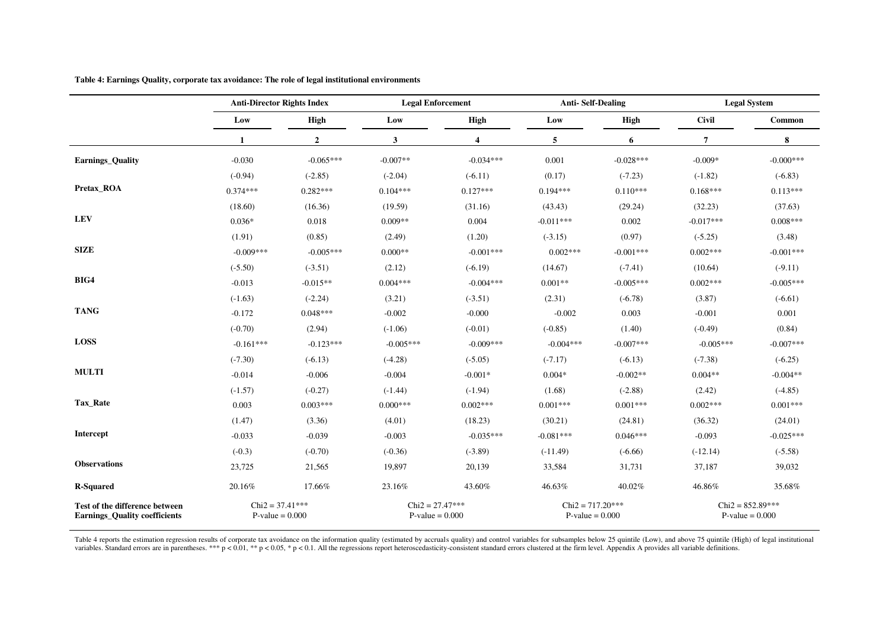|                                                                        | <b>Anti-Director Rights Index</b>      |              | <b>Legal Enforcement</b>               |                         |                                         | <b>Anti-Self-Dealing</b> |                                         | <b>Legal System</b> |  |
|------------------------------------------------------------------------|----------------------------------------|--------------|----------------------------------------|-------------------------|-----------------------------------------|--------------------------|-----------------------------------------|---------------------|--|
|                                                                        | Low                                    | High         | Low                                    | High                    | Low                                     | High                     | <b>Civil</b>                            | Common              |  |
|                                                                        | 1                                      | $\mathbf{2}$ | 3                                      | $\overline{\mathbf{4}}$ | 5                                       | 6                        | $\overline{7}$                          | ${\bf 8}$           |  |
| Earnings_Quality                                                       | $-0.030$                               | $-0.065***$  | $-0.007**$                             | $-0.034***$             | 0.001                                   | $-0.028***$              | $-0.009*$                               | $-0.000***$         |  |
|                                                                        | $(-0.94)$                              | $(-2.85)$    | $(-2.04)$                              | $(-6.11)$               | (0.17)                                  | $(-7.23)$                | $(-1.82)$                               | $(-6.83)$           |  |
| Pretax_ROA                                                             | $0.374***$                             | $0.282***$   | $0.104***$                             | $0.127***$              | $0.194***$                              | $0.110***$               | $0.168***$                              | $0.113***$          |  |
|                                                                        | (18.60)                                | (16.36)      | (19.59)                                | (31.16)                 | (43.43)                                 | (29.24)                  | (32.23)                                 | (37.63)             |  |
| <b>LEV</b>                                                             | $0.036*$                               | 0.018        | $0.009**$                              | 0.004                   | $-0.011***$                             | 0.002                    | $-0.017***$                             | $0.008***$          |  |
|                                                                        | (1.91)                                 | (0.85)       | (2.49)                                 | (1.20)                  | $(-3.15)$                               | (0.97)                   | $(-5.25)$                               | (3.48)              |  |
| <b>SIZE</b>                                                            | $-0.009***$                            | $-0.005***$  | $0.000**$                              | $-0.001***$             | $0.002***$                              | $-0.001***$              | $0.002***$                              | $-0.001***$         |  |
|                                                                        | $(-5.50)$                              | $(-3.51)$    | (2.12)                                 | $(-6.19)$               | (14.67)                                 | $(-7.41)$                | (10.64)                                 | $(-9.11)$           |  |
| BIG4                                                                   | $-0.013$                               | $-0.015**$   | $0.004***$                             | $-0.004***$             | $0.001**$                               | $-0.005***$              | $0.002***$                              | $-0.005***$         |  |
|                                                                        | $(-1.63)$                              | $(-2.24)$    | (3.21)                                 | $(-3.51)$               | (2.31)                                  | $(-6.78)$                | (3.87)                                  | $(-6.61)$           |  |
| <b>TANG</b>                                                            | $-0.172$                               | $0.048***$   | $-0.002$                               | $-0.000$                | $-0.002$                                | 0.003                    | $-0.001$                                | 0.001               |  |
|                                                                        | $(-0.70)$                              | (2.94)       | $(-1.06)$                              | $(-0.01)$               | $(-0.85)$                               | (1.40)                   | $(-0.49)$                               | (0.84)              |  |
| <b>LOSS</b>                                                            | $-0.161***$                            | $-0.123***$  | $-0.005***$                            | $-0.009***$             | $-0.004***$                             | $-0.007***$              | $-0.005***$                             | $-0.007***$         |  |
|                                                                        | $(-7.30)$                              | $(-6.13)$    | $(-4.28)$                              | $(-5.05)$               | $(-7.17)$                               | $(-6.13)$                | $(-7.38)$                               | $(-6.25)$           |  |
| <b>MULTI</b>                                                           | $-0.014$                               | $-0.006$     | $-0.004$                               | $-0.001*$               | $0.004*$                                | $-0.002**$               | $0.004**$                               | $-0.004**$          |  |
|                                                                        | $(-1.57)$                              | $(-0.27)$    | $(-1.44)$                              | $(-1.94)$               | (1.68)                                  | $(-2.88)$                | (2.42)                                  | $(-4.85)$           |  |
| Tax_Rate                                                               | 0.003                                  | $0.003***$   | $0.000***$                             | $0.002***$              | $0.001***$                              | $0.001***$               | $0.002***$                              | $0.001***$          |  |
|                                                                        | (1.47)                                 | (3.36)       | (4.01)                                 | (18.23)                 | (30.21)                                 | (24.81)                  | (36.32)                                 | (24.01)             |  |
| Intercept                                                              | $-0.033$                               | $-0.039$     | $-0.003$                               | $-0.035***$             | $-0.081***$                             | $0.046***$               | $-0.093$                                | $-0.025***$         |  |
|                                                                        | $(-0.3)$                               | $(-0.70)$    | $(-0.36)$                              | $(-3.89)$               | $(-11.49)$                              | $(-6.66)$                | $(-12.14)$                              | $(-5.58)$           |  |
| <b>Observations</b>                                                    | 23,725                                 | 21,565       | 19,897                                 | 20,139                  | 33,584                                  | 31,731                   | 37,187                                  | 39,032              |  |
| <b>R-Squared</b>                                                       | $20.16\%$                              | 17.66%       | 23.16%                                 | 43.60%                  | 46.63%                                  | 40.02%                   | 46.86%                                  | 35.68%              |  |
| Test of the difference between<br><b>Earnings_Quality coefficients</b> | $Chi2 = 37.41***$<br>$P-value = 0.000$ |              | $Chi2 = 27.47***$<br>$P-value = 0.000$ |                         | $Chi2 = 717.20***$<br>$P-value = 0.000$ |                          | $Chi2 = 852.89***$<br>$P-value = 0.000$ |                     |  |

**Table 4: Earnings Quality, corporate tax avoidance: The role of legal institutional environments** 

Table 4 reports the estimation regression results of corporate tax avoidance on the information quality (estimated by accruals quality) and control variables for subsamples below 25 quintile (Low), and above 75 quintile (H variables. Standard errors are in parentheses. \*\*\*  $p < 0.01$ , \*\*  $p < 0.05$ , \*  $p < 0.1$ . All the regressions report heteroscedasticity-consistent standard errors clustered at the firm level. Appendix A provides all variabl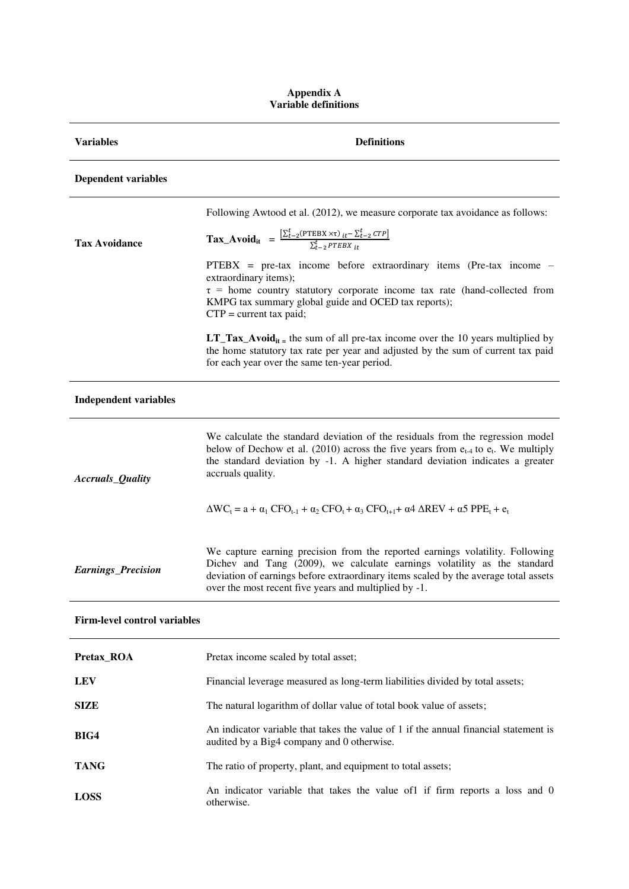#### **Appendix A Variable definitions**

| <b>Variables</b>                    | <b>Definitions</b>                                                                                                                                                                                                                                                                                        |
|-------------------------------------|-----------------------------------------------------------------------------------------------------------------------------------------------------------------------------------------------------------------------------------------------------------------------------------------------------------|
| <b>Dependent variables</b>          |                                                                                                                                                                                                                                                                                                           |
|                                     | Following Awtood et al. (2012), we measure corporate tax avoidance as follows:                                                                                                                                                                                                                            |
| <b>Tax Avoidance</b>                | $\textbf{Tax\_Avoid}_{it} = \frac{\left[\sum_{t=2}^{t} (\text{PTEBX} \times \tau)_{it} - \sum_{t=2}^{t} CTP\right]}{\sum_{t=2}^{t} PTEBX_{it}}$                                                                                                                                                           |
|                                     | $PTEBX = pre-tax income before extraordinary items (Pre-tax income -$<br>extraordinary items);<br>$\tau$ = home country statutory corporate income tax rate (hand-collected from<br>KMPG tax summary global guide and OCED tax reports);<br>$CTP = current tax paid;$                                     |
|                                     | <b>LT_Tax_Avoid</b> <sub>it =</sub> the sum of all pre-tax income over the 10 years multiplied by<br>the home statutory tax rate per year and adjusted by the sum of current tax paid<br>for each year over the same ten-year period.                                                                     |
| <b>Independent variables</b>        |                                                                                                                                                                                                                                                                                                           |
| Accruals_Quality                    | We calculate the standard deviation of the residuals from the regression model<br>below of Dechow et al. (2010) across the five years from $e_{t-4}$ to $e_t$ . We multiply<br>the standard deviation by -1. A higher standard deviation indicates a greater<br>accruals quality.                         |
|                                     | $\Delta WC_t = a + \alpha_1$ CFO <sub>t-1</sub> + $\alpha_2$ CFO <sub>t</sub> + $\alpha_3$ CFO <sub>t+1</sub> + $\alpha$ 4 $\Delta REV + \alpha$ 5 PPE <sub>t</sub> + $e_t$                                                                                                                               |
| <b>Earnings_Precision</b>           | We capture earning precision from the reported earnings volatility. Following<br>Dichev and Tang (2009), we calculate earnings volatility as the standard<br>deviation of earnings before extraordinary items scaled by the average total assets<br>over the most recent five years and multiplied by -1. |
| <b>Firm-level control variables</b> |                                                                                                                                                                                                                                                                                                           |
| Pretax_ROA                          | Pretax income scaled by total asset;                                                                                                                                                                                                                                                                      |
| <b>LEV</b>                          | Financial leverage measured as long-term liabilities divided by total assets;                                                                                                                                                                                                                             |

| SIZE | The natural logarithm of dollar value of total book value of assets; |
|------|----------------------------------------------------------------------|
|      |                                                                      |

**BIG4** An indicator variable that takes the value of 1 if the annual financial statement is audited by a Big4 company and 0 otherwise.

TANG TANG The ratio of property, plant, and equipment to total assets;

LOSS An indicator variable that takes the value of1 if firm reports a loss and 0 otherwise.